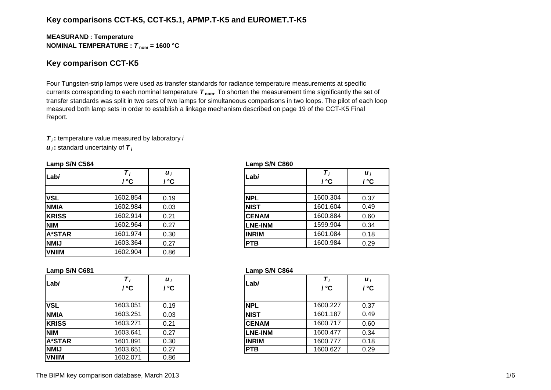## **Key comparisons CCT-K5, CCT-K5.1, APMP.T-K5 and EUROMET.T-K5**

#### **MEASURAN D : Temperature NOMINAL TEMPERATURE :**  *T* **nom = 1600 °C**

#### **Key comparison CCT-K5**

Four Tungsten-strip lamps were used as transfer standards for radiance temperature measurements at specific currents corresponding to each nominal temperature *T* **nom**. To shorten the measurement time significantly the set of transfer standards was split in two sets of two lamps for simultaneous comparisons in two loops. The pilot of each loop measured both lamp sets in order to establish a linkage mechanism described on page 19 of the CCT-K5 Final Report.

*T i* **:** temperature value measured by laboratory *i*

*u i* **:** standard uncertainty of *T i*

| Labi          | ' °C     | $\boldsymbol{u}_i$<br>/ °C | Labi           | / °C     | $\boldsymbol{u}_i$<br>/ °C |
|---------------|----------|----------------------------|----------------|----------|----------------------------|
| <b>VSL</b>    | 1602.854 | 0.19                       | <b>NPL</b>     | 1600.304 | 0.37                       |
| <b>NMIA</b>   | 1602.984 | 0.03                       | <b>NIST</b>    | 1601.604 | 0.49                       |
| <b>KRISS</b>  | 1602.914 | 0.21                       | <b>CENAM</b>   | 1600.884 | 0.60                       |
| <b>NIM</b>    | 1602.964 | 0.27                       | <b>LNE-INM</b> | 1599.904 | 0.34                       |
| <b>A*STAR</b> | 1601.974 | 0.30                       | <b>INRIM</b>   | 1601.084 | 0.18                       |
| <b>NMIJ</b>   | 1603.364 | 0.27                       | <b>PTB</b>     | 1600.984 | 0.29                       |
| <b>VNIIM</b>  | 1602.904 | 0.86                       |                |          |                            |

#### **Lamp S/N C564 Lamp S/N C860**

| i<br>C.         | Labi           | $\boldsymbol{\tau}$<br>/ °C | $\boldsymbol{u}_i$<br>/ °C |
|-----------------|----------------|-----------------------------|----------------------------|
| $\overline{19}$ | <b>NPL</b>     | 1600.304                    | 0.37                       |
| )3              | <b>NIST</b>    | 1601.604                    | 0.49                       |
| $\overline{21}$ | <b>CENAM</b>   | 1600.884                    | 0.60                       |
| $\frac{27}{2}$  | <b>LNE-INM</b> | 1599.904                    | 0.34                       |
| 30              | <b>INRIM</b>   | 1601.084                    | 0.18                       |
| $\overline{27}$ | <b>PTB</b>     | 1600.984                    | 0.29                       |

| Labi          | т,<br>' °C | $\boldsymbol{u}_i$<br>' °C | Labi           | / °C     | $\boldsymbol{u}_i$<br>/ °C |
|---------------|------------|----------------------------|----------------|----------|----------------------------|
|               |            |                            |                |          |                            |
| <b>VSL</b>    | 1603.051   | 0.19                       | <b>NPL</b>     | 1600.227 | 0.37                       |
| <b>NMIA</b>   | 1603.251   | 0.03                       | <b>NIST</b>    | 1601.187 | 0.49                       |
| <b>KRISS</b>  | 1603.271   | 0.21                       | <b>CENAM</b>   | 1600.717 | 0.60                       |
| <b>NIM</b>    | 1603.641   | 0.27                       | <b>LNE-INM</b> | 1600.477 | 0.34                       |
| <b>A*STAR</b> | 1601.891   | 0.30                       | <b>INRIM</b>   | 1600.777 | 0.18                       |
| <b>NMIJ</b>   | 1603.651   | 0.27                       | <b>PTB</b>     | 1600.627 | 0.29                       |
| <b>VNIIM</b>  | 1602.071   | 0.86                       |                |          |                            |

#### **Lamp S/N C681 Lamp S/N C864**

| . .        |          |                           |                |          |                            |
|------------|----------|---------------------------|----------------|----------|----------------------------|
|            | / °C     | $\boldsymbol{u}_i$<br>' ℃ | Labi           | / °C     | $\boldsymbol{u}_i$<br>/ °C |
|            |          |                           |                |          |                            |
|            | 1603.051 | 0.19                      | <b>NPL</b>     | 1600.227 | 0.37                       |
| А          | 1603.251 | 0.03                      | <b>NIST</b>    | 1601.187 | 0.49                       |
| SS         | 1603.271 | 0.21                      | <b>CENAM</b>   | 1600.717 | 0.60                       |
|            | 1603.641 | 0.27                      | <b>LNE-INM</b> | 1600.477 | 0.34                       |
| <b>TAR</b> | 1601.891 | 0.30                      | <b>INRIM</b>   | 1600.777 | 0.18                       |
|            | 1603.651 | 0.27                      | <b>PTB</b>     | 1600.627 | 0.29                       |
|            |          |                           |                |          |                            |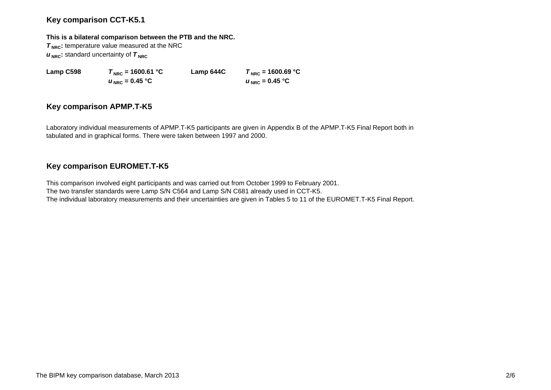## **Key comparison CCT-K5.1**

#### **This is a bilateral comparison between the PTB and the NRC.**

**T<sub>NRC</sub>**: temperature value measured at the NRC  $u_{\text{NRC}}$ : standard uncertainty of  $\tau_{\text{NRC}}$ 

 $u_{\text{NRC}} = 0.45 \text{ °C}$ 

**Lamp C598**  $T_{\text{NRC}} = 1600.61 \text{ °C}$  **Lamp 644C**  $T_{\text{NRC}} = 1600.69 \text{ °C}$  $U_{NRC} = 0.45 °C$ 

## **Key comparison APMP.T-K5**

Laboratory individual measurements of APMP.T-K5 participants are given in Appendix B of the APMP.T-K5 Final Report both in tabulated and in graphical forms. There were taken between 1997 and 2000.

# **Key comparison EUROMET.T-K5**

This comparison involved eight participants and was carried out from October 1999 to February 2001. The two transfer standards were Lamp S/N C564 and Lamp S/N C681 already used in CCT-K5. The individual laboratory measurements and their uncertainties are given in Tables 5 to 11 of the EUROMET.T-K5 Final Report.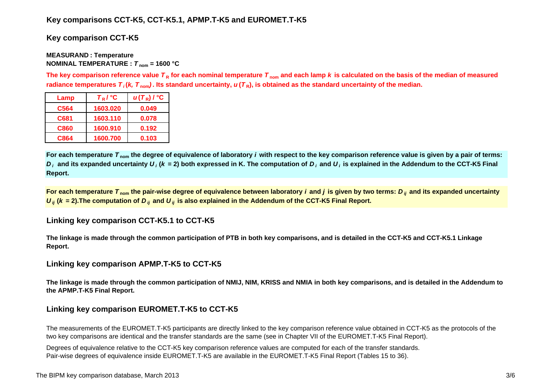## **Key comparisons CCT-K5, CCT-K5.1, APMP.T-K5 and EUROMET.T-K5**

**Key comparison CCT-K5**

#### **MEASURAN D : Temperature NOMINAL TEMPERATURE :**  *T* **nom = 1600 °C**

The key comparison reference value  $\bm{\tau}_{\mathsf{R}}$  for each nominal temperature  $\bm{\tau}_{\mathsf{nom}}$  and each lamp  $\bm{k}$  is calculated on the basis of the median of measured radiance temperatures  $\bm{\tau}_i$ (*k, T*  $_{\rm nom}$ ). Its standard uncertainty,  $\bm{u}(\bm{\tau}_{{\sf R}})$ , is obtained as the standard uncertainty of the median.

| Lamp        | $T_R$ / $\degree$ C | $u(T_R)$ / $^{\circ}$ C |
|-------------|---------------------|-------------------------|
| C564        | 1603.020            | 0.049                   |
| C681        | 1603.110            | 0.078                   |
| <b>C860</b> | 1600.910            | 0.192                   |
| C864        | 1600.700            | 0.103                   |

**For each temperature**  *T* **nom the degree of equivalence of laboratory** *i* **with respect to the key comparison reference value is given by a pair of terms:**   $D_i$  and its expanded uncertainty  $U_i$  (k = 2) both expressed in K. The computation of  $D_i$  and  $U_i$  is explained in the Addendum to the CCT-K5 Final **Report.**

**For each temperature**  *T* **nom the pair-wise degree of equivalence between laboratory** *i* **and** *j* **is given by two terms:***<sup>D</sup> ij* **and its expanded uncertainty**   $U_{ij}$  ( $k$  = 2).The computation of  $D_{ij}$  and  $U_{ij}$  is also explained in the Addendum of the CCT-K5 Final Report.

## **Linking key comparison CCT-K5.1 to CCT-K5**

**The linkage is made through the common participation of PTB in both key comparisons, and is detailed in the CCT-K5 and CCT-K5.1 Linkage Report.**

## **Linking key comparison APMP.T-K5 to CCT-K5**

**The linkage is made through the common participation of NMIJ, NIM, KRISS and NMIA in both key comparisons, and is detailed in the Addendum to the APMP.T-K5 Final Report.**

# **Linking key comparison EUROMET.T-K5 to CCT-K5**

The measurements of the EUROMET.T-K5 participants are directly linked to the key comparison reference value obtained in CCT-K5 as the protocols of the two key comparisons are identical and the transfer standards are the same (see in Chapter VII of the EUROMET.T-K5 Final Report).

Degrees of equivalence relative to the CCT-K5 key comparison reference values are computed for each of the transfer standards. Pair-wise degrees of equivalence inside EUROMET.T-K5 are available in the EUROMET.T-K5 Final Report (Tables 15 to 36).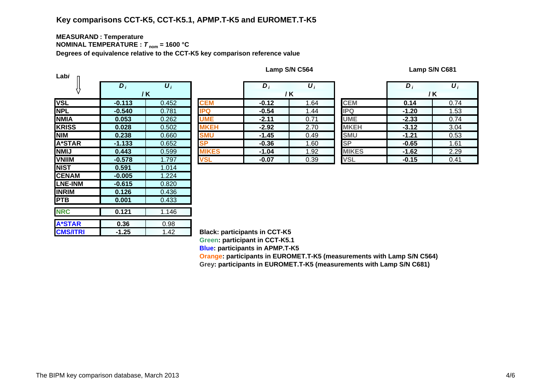# **Key comparisons CCT-K5, CCT-K5.1, APMP.T-K5 and EUROMET.T-K5**

#### **MEASURAN D : Temperature NOMINAL TEMPERATURE :**  *T* **nom = 1600 °C**

**Degrees of equivalence relative to the CCT-K5 key comparison reference value**

| Labi            |                  |                       |               |
|-----------------|------------------|-----------------------|---------------|
|                 | $\overline{D_i}$ | $\overline{\bm{U}_I}$ |               |
|                 |                  | / K                   |               |
| <b>VSL</b>      | $-0.113$         | 0.452                 | <b>CEM</b>    |
| <b>NPL</b>      | $-0.540$         | 0.781                 | <b>IPQ</b>    |
| <b>NMIA</b>     | 0.053            | 0.262                 | <b>UME</b>    |
| <b>KRISS</b>    | 0.028            | 0.502                 | <b>MKEH</b>   |
| <b>NIM</b>      | 0.238            | 0.660                 | <b>SMU</b>    |
| <b>A*STAR</b>   | $-1.133$         | 0.652                 | <b>SP</b>     |
| <b>NMIJ</b>     | 0.443            | 0.599                 | <b>MIKES</b>  |
| <b>VNIIM</b>    | $-0.578$         | 1.797                 | <b>VSL</b>    |
| <b>NIST</b>     | 0.591            | 1.014                 |               |
| <b>CENAM</b>    | $-0.005$         | 1.224                 |               |
| <b>LNE-INM</b>  | $-0.615$         | 0.820                 |               |
| <b>INRIM</b>    | 0.126            | 0.436                 |               |
| <b>PTB</b>      | 0.001            | 0.433                 |               |
| <b>NRC</b>      | 0.121            | 1.146                 |               |
|                 |                  |                       |               |
| <b>A*STAR</b>   | 0.36             | 0.98                  |               |
| <b>CMS/ITRI</b> | $-1.25$          | 1.42                  | <b>Black:</b> |

| Lamp S/N C564 |  |  |  |
|---------------|--|--|--|
|---------------|--|--|--|

**Lamp S/N C564 Lamp S/N C681**

|                               | $D_i$    | $\boldsymbol{U}_i$                   |              | D       | $\boldsymbol{U}$ |              | D       | $\boldsymbol{U}_i$ |
|-------------------------------|----------|--------------------------------------|--------------|---------|------------------|--------------|---------|--------------------|
|                               |          | / K                                  |              | / K     |                  |              | /K      |                    |
|                               | $-0.113$ | 0.452                                | <b>CEM</b>   | $-0.12$ | 1.64             | <b>CEM</b>   | 0.14    | 0.74               |
|                               | $-0.540$ | 0.781                                | <b>IPQ</b>   | $-0.54$ | 1.44             | <b>IPQ</b>   | $-1.20$ | 1.53               |
| А                             | 0.053    | 0.262                                | <b>UME</b>   | $-2.11$ | 0.71             | <b>UME</b>   | $-2.33$ | 0.74               |
| $\overline{\text{s}}\text{s}$ | 0.028    | 0.502                                | <b>MKEH</b>  | $-2.92$ | 2.70             | <b>MKEH</b>  | $-3.12$ | 3.04               |
|                               | 0.238    | 0.660                                | <b>SMU</b>   | $-1.45$ | 0.49             | <b>SMU</b>   | $-1.21$ | 0.53               |
| TAR                           | $-1.133$ | 0.652                                | <b>SP</b>    | $-0.36$ | 1.60             | <b>SP</b>    | $-0.65$ | 1.61               |
|                               | 0.443    | 0.599                                | <b>MIKES</b> | $-1.04$ | 1.92             | <b>MIKES</b> | $-1.62$ | 2.29               |
| M                             | $-0.578$ | 1.797                                | VSL          | $-0.07$ | 0.39             | <b>VSL</b>   | $-0.15$ | 0.41               |
|                               | ----     | $\lambda$ $\sim$ $\lambda$ $\lambda$ |              |         |                  |              |         |                    |

|   | $D_i$   | $\boldsymbol{U}_i$ |              | D       | $\boldsymbol{\mathsf{U}}_i$ |
|---|---------|--------------------|--------------|---------|-----------------------------|
|   |         | / K                |              |         | / K                         |
|   | $-0.12$ | 1.64               | <b>CEM</b>   | 0.14    | 0.74                        |
|   | $-0.54$ | 1.44               | <b>IPQ</b>   | $-1.20$ | 1.53                        |
|   | $-2.11$ | 0.71               | <b>UME</b>   | $-2.33$ | 0.74                        |
|   | $-2.92$ | 2.70               | <b>MKEH</b>  | $-3.12$ | 3.04                        |
|   | $-1.45$ | 0.49               | <b>SMU</b>   | $-1.21$ | 0.53                        |
|   | $-0.36$ | 1.60               | <b>SP</b>    | $-0.65$ | 1.61                        |
| S | $-1.04$ | 1.92               | <b>MIKES</b> | $-1.62$ | 2.29                        |
|   | $-0.07$ | 0.39               | <b>VSL</b>   | $-0.15$ | 0.41                        |

**Black: participants in CCT-K5 Green: participant in CCT-K5.1 Blue: participants in APMP.T-K5**

**Oran g e: participants in EUROMET.T-K5 (measurements with Lamp S/N C564) Gre y: participants in EUROMET.T-K5 (measurements with Lamp S/N C681)**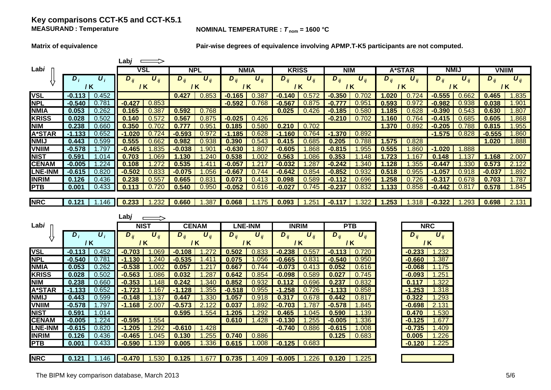## **Key comparisons CCT-K5 and CCT-K5.1 MEASURAND**

#### **NOMINAL TEMPERATURE :**  $T_{\text{nom}} = 1600 \text{ °C}$

**Matrix of equivalence Pair-wise degrees of equivalence involving APMP.T-K5 participants are not computed.**

|                |          |                    | ∟ab <i>j</i> |                       |            |                 |             |               |              |                       |            |                       |          |          |                |                  |              |                       |
|----------------|----------|--------------------|--------------|-----------------------|------------|-----------------|-------------|---------------|--------------|-----------------------|------------|-----------------------|----------|----------|----------------|------------------|--------------|-----------------------|
| Labi           |          |                    | VSL          |                       | <b>NPL</b> |                 | <b>NMIA</b> |               | <b>KRISS</b> |                       | <b>NIM</b> |                       |          | A*STAR   | <b>NMIJ</b>    |                  | <b>VNIIM</b> |                       |
|                | $D_i$    | $\boldsymbol{U}_i$ | $D_{ii}$     | $\boldsymbol{U}_{ii}$ | $D_{ii}$   | $U_{ii}$        | $D_{ii}$    | $U_{ii}$      | $D_{ii}$     | $\boldsymbol{U}_{ii}$ | $D_{ii}$   | $\boldsymbol{U}_{ii}$ | $D_{ii}$ | $U_{ii}$ | $D_{ii}$       | $U_{ii}$         | $D_{ii}$     | $\boldsymbol{U}_{ii}$ |
|                | 7 K      |                    | 7 K          |                       | 1 K        |                 | / K         |               | 7 K          |                       | 7 K        |                       |          | / K      | 7 K            |                  | 7 K          |                       |
| <b>VSL</b>     | $-0.113$ | 0.452              |              |                       | 0.427      | 0.853           | $-0.165$    | .387          | $-0.140$     | .572                  | .350       |                       | .020     | 0.724    | $-0.555$       | .662             | 0.465        | 1.835                 |
| <b>NPL</b>     | -0.540   | 0.781              | $-0.427$     | 0.853                 |            |                 | $-0.592$    | 0.768         | $-0.56$      | .875                  |            |                       | .593     | 0.972    | -0.982         | .93 <sub>0</sub> | 0.038        | 1.901                 |
| <b>NMIA</b>    | 0.053    | 0.262              | 0.165        | $0.38^{-}$            | 0.592      | 0.768           |             |               | 0.025        | 0.426                 |            |                       | 185      | 0.628    | -0.390         | .54              | 0.630        | .807                  |
| <b>KRISS</b>   | 0.028    | 0.502              | 0.140        | 0.57                  | 0.567      | 0.875           | $-0.025$    | 0.426         |              |                       | $-0.210$   |                       | 1.160    | 0.764    | $-0.4^{\circ}$ | .685             | 0.605        | .868                  |
| <b>NIM</b>     | 0.238    | 0.660              | 0.350        |                       |            | .95             | 0.185       | 0.580         | 0.210        | 0.702                 |            |                       | 1.370    | 0.892    | $-0.205$       | .788             | 0.815        | .955                  |
| <b>A*STAR</b>  | $-1.133$ | 0.652              | $-1.020$     |                       | -0.593     | 0.97'           | 1.185<br>-7 | 0.628         | $-1.160$     | .764                  | 1.370      | 0.892                 |          |          | $-1.575$       | 0.828            | $-0.555$     | 860. ا                |
| <b>NMIJ</b>    | 0.443    | 0.599              | 0.555        | $J.\overline{66}$     | 0.98       |                 | 0.390       | 0.543         |              | .685                  | 0.205      |                       | .575     | 0.828    |                |                  | 1.020        | 1.888                 |
| <b>VNIIM</b>   | $-0.578$ | .797               | $-0.465$     | .835                  |            | .9 <sub>C</sub> | $-0.630$    | .80           | $-0.605$     | .868                  | -0.815     | .955                  | .555     | 860      | .020           | .888             |              |                       |
| <b>NIST</b>    | 0.591    | .014               | 0.703        | ngc                   | 30         | .240            | 0.538       |               | 0.563        | .086                  | 0.353      |                       |          | 6°       | 48             |                  | .168         | 2.007                 |
| <b>CENAM</b>   | -0.005   | .224               | 0.108        |                       | 0.535      | $\cdot$ 4       | -0.057      |               | $-0.032$     | .287                  | $-0.242$   | .340                  | 128      | 355      | -0.44          | .33              | 0.573        | 2.122                 |
| <b>LNE-INM</b> | $-0.61$  | 0.820              | $-0.502$     | 0.833                 |            | .056            | $-0.667$    |               | $-0.642$     | ).854                 | $-0.852$   |                       | 0.5      | 0.955    |                | .9               | $-0.037$     | .892                  |
| <b>INRIM</b>   | 0.126    | 0.436              | 0.238        | 0.55                  | 0.665      | 0.83            | 0.073       | $0.4^{\cdot}$ | 0.098        | .589                  |            |                       | .258     |          | $-0.3°$        | .6               | 0.703        | .787                  |
| <b>PTB</b>     | 0.001    | 0.433              | 0.113        |                       | 0.540      | 0.950           | $-0.052$    | 0.616         | $-0.027$     | 0.745                 | $-0.237$   | 0.832                 | .133     | 0.858    | $-0.442$       | 0.817            | 0.578        | 1.845                 |
|                |          |                    |              |                       |            |                 |             |               |              |                       |            |                       |          |          |                |                  |              |                       |
| <b>NRC</b>     | 0.121    | 1.146              | 0.233        |                       | 0.660      | .387            | 0.068       | 1.175         | 0.093        | .25                   |            | 1.322                 | 1.253    | 1.318    | $-0.322$       | .293             | 0.698        | 2.131                 |

|                |                                    | Labj                                     |                             |                             |                                          |                                          |                             |
|----------------|------------------------------------|------------------------------------------|-----------------------------|-----------------------------|------------------------------------------|------------------------------------------|-----------------------------|
| Labi           |                                    | <b>NIST</b>                              | <b>CENAM</b>                | <b>LNE-INM</b>              | <b>INRIM</b>                             | <b>PTB</b>                               | <b>NRC</b>                  |
|                | $\boldsymbol{U}_i$<br>$D_i$<br>/ K | $\boldsymbol{U}_{ij}$<br>$D_{ii}$<br>/ K | $U_{ii}$<br>$D_{ij}$<br>/ K | $U_{ii}$<br>$D_{ij}$<br>/ K | $\boldsymbol{U}_{ij}$<br>$D_{ij}$<br>7 K | $\boldsymbol{U}_{ij}$<br>$D_{ii}$<br>/ K | $U_{ij}$<br>$D_{ij}$<br>/ K |
| <b>VSL</b>     | 0.452<br>$-0.113$                  | .069<br>$-0.703$                         | 1.272<br>$-0.108$           | 0.502<br>0.833              | $-0.238$<br>0.557                        | 0.720<br>$-0.113$                        | 1.232<br>$-0.233$           |
| <b>NPL</b>     | 0.781<br>$-0.540$                  | .240<br>$-1.130$                         | $-0.535$<br>.41             | 0.075<br>.056               | $-0.665$<br>0.831                        | $-0.540$<br>0.950                        | 1.387<br>$-0.660$           |
| <b>NMIA</b>    | 0.262<br>0.053                     | .002<br>$-0.538$                         | $\cdot$ .2<br>0.057         | 0.667<br>0.744              | $-0.073$<br>0.413                        | 0.616<br>0.052                           | $-0.068$<br>1.175           |
| <b>KRISS</b>   | 0.502<br>0.028                     | .086<br>$-0.563$                         | .287<br>0.032               | 0.854<br>0.642              | 0.589<br>$-0.098$                        | 0.745<br>0.027                           | 251.ا<br>$-0.093$           |
| <b>NIM</b>     | 0.660<br>0.238                     | $-0.353$<br>l.148                        | .340<br>0.242               | 0.932<br>0.852              | 0.696<br>0.112                           | 0.832<br>0.237                           | .322<br>0.117               |
| <b>A*STAR</b>  | 0.652<br>$-1.133$                  | .167<br>$-1.723$                         | .355<br>$-1.128$            | 0.955<br>$-0.518$           | 0.726<br>$-1.258$                        | 0.858<br>$-1.133$                        | 1.318<br>$-1.253$           |
| <b>NMIJ</b>    | 0.599<br>0.443                     | 137<br>$-0.148$                          | .330<br>1.447               | 0.918<br>1.057              | 0.678<br>.317                            | 0.817<br>0.442                           | .293<br>0.322               |
| <b>VNIIM</b>   | .797<br>$-0.578$                   | 2.007<br>$-1.168$                        | $-0.573$                    | .892<br>0.037               | .787<br>$-0.703$                         | .845<br>$-0.578$                         | 2.131<br>$-0.698$           |
| <b>NIST</b>    | 1.014<br>0.591                     |                                          | .554<br>0.595               | .292<br>1.205               | .045<br>0.465                            | .139<br>0.590                            | 1.530<br>0.470              |
| <b>CENAM</b>   | .224<br>$-0.005$                   | $-0.595$<br>.554                         |                             | 1.428<br>0.610              | $-0.130$<br>.255                         | $-0.005$<br>.336                         | $-0.125$<br>.677            |
| <b>LNE-INM</b> | 0.820<br>$-0.615$                  | .292<br>$-1.205$                         | $-0.610$<br>l.428           |                             | $-0.740$<br>0.886                        | $-0.615$<br>.008                         | $-0.735$<br>.409            |
| <b>INRIM</b>   | 0.436<br>0.126                     | $-0.465$<br>.045                         | 0.130<br>.255               | 0.740<br>0.886              |                                          | 0.125<br>0.683                           | 0.005<br>.226               |
| <b>PTB</b>     | 0.433<br>0.001                     | 139<br>$-0.590$                          | 0.005<br>.336               | .008<br>0.615               | $-0.125$<br>0.683                        |                                          | $-0.120$<br>1.225           |
|                |                                    |                                          |                             |                             |                                          |                                          |                             |
| <b>INRC</b>    | 0.121<br>.146                      | $-0.470$  <br>.530                       | 0.125<br>1.677              | 0.735<br>.409               | $-0.005$<br>.226 I                       | 0.120<br>.225                            |                             |

| NRC                       |           |  |  |  |  |
|---------------------------|-----------|--|--|--|--|
| $\bm{U}_{ii}$<br>$D_{ii}$ |           |  |  |  |  |
|                           | 1 K       |  |  |  |  |
| $-0.233$                  | 1.232     |  |  |  |  |
| $-0.660$                  | .387<br>1 |  |  |  |  |
| $-0.068$                  | 1.175     |  |  |  |  |
| $-0.093$                  | 1.251     |  |  |  |  |
| 0.117                     | 1.322     |  |  |  |  |
| -1.253                    | 1.318     |  |  |  |  |
| 0.322                     | 1.293     |  |  |  |  |
| $-0.698$                  | 2.131     |  |  |  |  |
| 0.470                     | 1.530     |  |  |  |  |
| $-0.125$                  | 1.677     |  |  |  |  |
| $-0.735$                  | 1.409     |  |  |  |  |
| 0.005                     | 1.226     |  |  |  |  |
| -0.120                    | 1.225     |  |  |  |  |